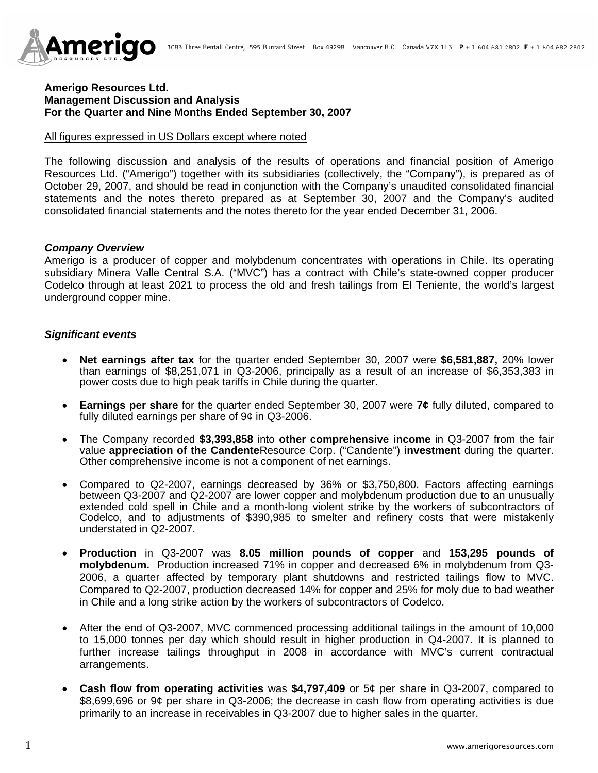

#### **Amerigo Resources Ltd. Management Discussion and Analysis For the Quarter and Nine Months Ended September 30, 2007**

#### All figures expressed in US Dollars except where noted

The following discussion and analysis of the results of operations and financial position of Amerigo Resources Ltd. ("Amerigo") together with its subsidiaries (collectively, the "Company"), is prepared as of October 29, 2007, and should be read in conjunction with the Company's unaudited consolidated financial statements and the notes thereto prepared as at September 30, 2007 and the Company's audited consolidated financial statements and the notes thereto for the year ended December 31, 2006.

#### *Company Overview*

Amerigo is a producer of copper and molybdenum concentrates with operations in Chile. Its operating subsidiary Minera Valle Central S.A. ("MVC") has a contract with Chile's state-owned copper producer Codelco through at least 2021 to process the old and fresh tailings from El Teniente, the world's largest underground copper mine.

#### *Significant events*

- **Net earnings after tax** for the quarter ended September 30, 2007 were **\$6,581,887,** 20% lower than earnings of \$8,251,071 in Q3-2006, principally as a result of an increase of \$6,353,383 in power costs due to high peak tariffs in Chile during the quarter.
- **Earnings per share** for the quarter ended September 30, 2007 were **7¢** fully diluted, compared to fully diluted earnings per share of 9¢ in Q3-2006.
- The Company recorded **\$3,393,858** into **other comprehensive income** in Q3-2007 from the fair value **appreciation of the Candente**Resource Corp. ("Candente") **investment** during the quarter. Other comprehensive income is not a component of net earnings.
- Compared to Q2-2007, earnings decreased by 36% or \$3,750,800. Factors affecting earnings between Q3-2007 and Q2-2007 are lower copper and molybdenum production due to an unusually extended cold spell in Chile and a month-long violent strike by the workers of subcontractors of Codelco, and to adjustments of \$390,985 to smelter and refinery costs that were mistakenly understated in Q2-2007.
- **Production** in Q3-2007 was **8.05 million pounds of copper** and **153,295 pounds of molybdenum.** Production increased 71% in copper and decreased 6% in molybdenum from Q3- 2006, a quarter affected by temporary plant shutdowns and restricted tailings flow to MVC. Compared to Q2-2007, production decreased 14% for copper and 25% for moly due to bad weather in Chile and a long strike action by the workers of subcontractors of Codelco.
- After the end of Q3-2007, MVC commenced processing additional tailings in the amount of 10,000 to 15,000 tonnes per day which should result in higher production in Q4-2007. It is planned to further increase tailings throughput in 2008 in accordance with MVC's current contractual arrangements.
- **Cash flow from operating activities** was **\$4,797,409** or 5¢ per share in Q3-2007, compared to \$8,699,696 or 9¢ per share in Q3-2006; the decrease in cash flow from operating activities is due primarily to an increase in receivables in Q3-2007 due to higher sales in the quarter.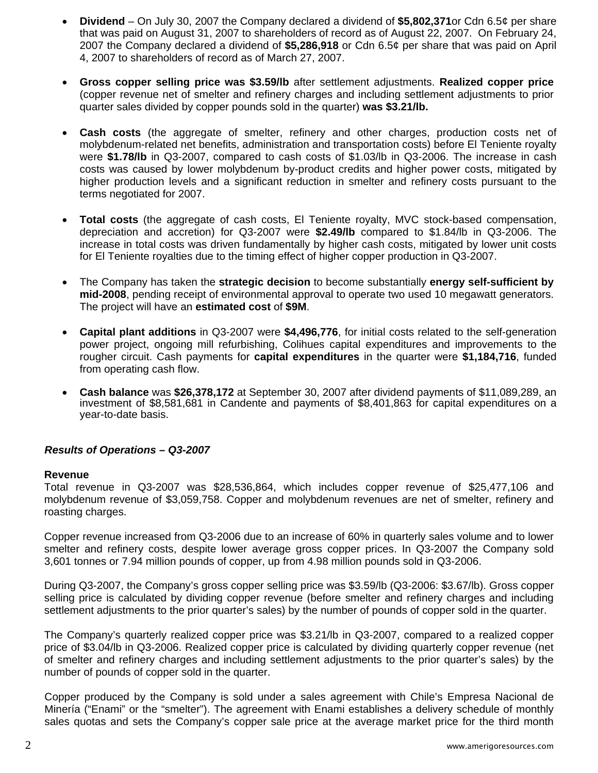- **Dividend**  On July 30, 2007 the Company declared a dividend of **\$5,802,371**or Cdn 6.5¢ per share that was paid on August 31, 2007 to shareholders of record as of August 22, 2007. On February 24, 2007 the Company declared a dividend of **\$5,286,918** or Cdn 6.5¢ per share that was paid on April 4, 2007 to shareholders of record as of March 27, 2007.
- **Gross copper selling price was \$3.59/lb** after settlement adjustments. **Realized copper price**  (copper revenue net of smelter and refinery charges and including settlement adjustments to prior quarter sales divided by copper pounds sold in the quarter) **was \$3.21/lb.**
- **Cash costs** (the aggregate of smelter, refinery and other charges, production costs net of molybdenum-related net benefits, administration and transportation costs) before El Teniente royalty were **\$1.78/lb** in Q3-2007, compared to cash costs of \$1.03/lb in Q3-2006. The increase in cash costs was caused by lower molybdenum by-product credits and higher power costs, mitigated by higher production levels and a significant reduction in smelter and refinery costs pursuant to the terms negotiated for 2007.
- **Total costs** (the aggregate of cash costs, El Teniente royalty, MVC stock-based compensation, depreciation and accretion) for Q3-2007 were **\$2.49/lb** compared to \$1.84/lb in Q3-2006. The increase in total costs was driven fundamentally by higher cash costs, mitigated by lower unit costs for El Teniente royalties due to the timing effect of higher copper production in Q3-2007.
- The Company has taken the **strategic decision** to become substantially **energy self-sufficient by mid-2008**, pending receipt of environmental approval to operate two used 10 megawatt generators. The project will have an **estimated cost** of **\$9M**.
- **Capital plant additions** in Q3-2007 were **\$4,496,776**, for initial costs related to the self-generation power project, ongoing mill refurbishing, Colihues capital expenditures and improvements to the rougher circuit. Cash payments for **capital expenditures** in the quarter were **\$1,184,716**, funded from operating cash flow.
- **Cash balance** was **\$26,378,172** at September 30, 2007 after dividend payments of \$11,089,289, an investment of \$8,581,681 in Candente and payments of \$8,401,863 for capital expenditures on a year-to-date basis.

## *Results of Operations – Q3-2007*

#### **Revenue**

Total revenue in Q3-2007 was \$28,536,864, which includes copper revenue of \$25,477,106 and molybdenum revenue of \$3,059,758. Copper and molybdenum revenues are net of smelter, refinery and roasting charges.

Copper revenue increased from Q3-2006 due to an increase of 60% in quarterly sales volume and to lower smelter and refinery costs, despite lower average gross copper prices. In Q3-2007 the Company sold 3,601 tonnes or 7.94 million pounds of copper, up from 4.98 million pounds sold in Q3-2006.

During Q3-2007, the Company's gross copper selling price was \$3.59/lb (Q3-2006: \$3.67/lb). Gross copper selling price is calculated by dividing copper revenue (before smelter and refinery charges and including settlement adjustments to the prior quarter's sales) by the number of pounds of copper sold in the quarter.

The Company's quarterly realized copper price was \$3.21/lb in Q3-2007, compared to a realized copper price of \$3.04/lb in Q3-2006. Realized copper price is calculated by dividing quarterly copper revenue (net of smelter and refinery charges and including settlement adjustments to the prior quarter's sales) by the number of pounds of copper sold in the quarter.

Copper produced by the Company is sold under a sales agreement with Chile's Empresa Nacional de Minería ("Enami" or the "smelter"). The agreement with Enami establishes a delivery schedule of monthly sales quotas and sets the Company's copper sale price at the average market price for the third month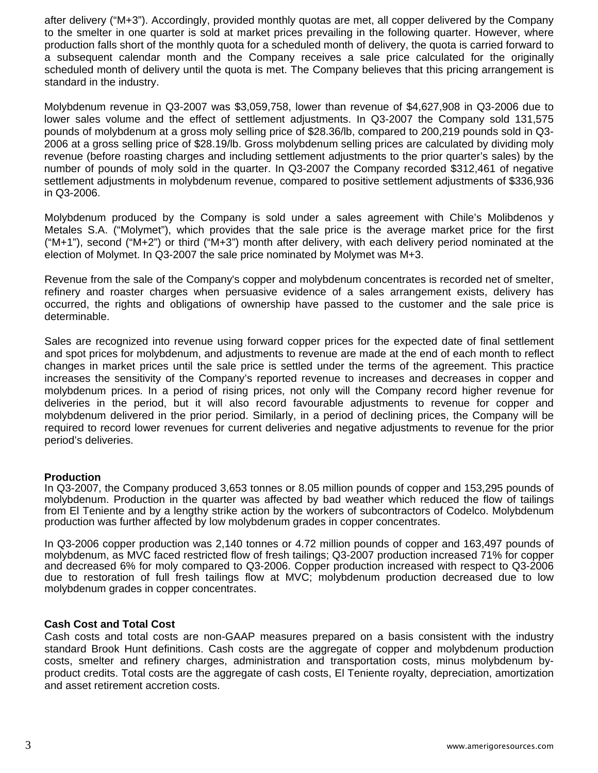after delivery ("M+3"). Accordingly, provided monthly quotas are met, all copper delivered by the Company to the smelter in one quarter is sold at market prices prevailing in the following quarter. However, where production falls short of the monthly quota for a scheduled month of delivery, the quota is carried forward to a subsequent calendar month and the Company receives a sale price calculated for the originally scheduled month of delivery until the quota is met. The Company believes that this pricing arrangement is standard in the industry.

Molybdenum revenue in Q3-2007 was \$3,059,758, lower than revenue of \$4,627,908 in Q3-2006 due to lower sales volume and the effect of settlement adjustments. In Q3-2007 the Company sold 131,575 pounds of molybdenum at a gross moly selling price of \$28.36/lb, compared to 200,219 pounds sold in Q3- 2006 at a gross selling price of \$28.19/lb. Gross molybdenum selling prices are calculated by dividing moly revenue (before roasting charges and including settlement adjustments to the prior quarter's sales) by the number of pounds of moly sold in the quarter. In Q3-2007 the Company recorded \$312,461 of negative settlement adjustments in molybdenum revenue, compared to positive settlement adjustments of \$336,936 in Q3-2006.

Molybdenum produced by the Company is sold under a sales agreement with Chile's Molibdenos y Metales S.A. ("Molymet"), which provides that the sale price is the average market price for the first ("M+1"), second ("M+2") or third ("M+3") month after delivery, with each delivery period nominated at the election of Molymet. In Q3-2007 the sale price nominated by Molymet was M+3.

Revenue from the sale of the Company's copper and molybdenum concentrates is recorded net of smelter, refinery and roaster charges when persuasive evidence of a sales arrangement exists, delivery has occurred, the rights and obligations of ownership have passed to the customer and the sale price is determinable.

Sales are recognized into revenue using forward copper prices for the expected date of final settlement and spot prices for molybdenum, and adjustments to revenue are made at the end of each month to reflect changes in market prices until the sale price is settled under the terms of the agreement. This practice increases the sensitivity of the Company's reported revenue to increases and decreases in copper and molybdenum prices. In a period of rising prices, not only will the Company record higher revenue for deliveries in the period, but it will also record favourable adjustments to revenue for copper and molybdenum delivered in the prior period. Similarly, in a period of declining prices, the Company will be required to record lower revenues for current deliveries and negative adjustments to revenue for the prior period's deliveries.

#### **Production**

In Q3-2007, the Company produced 3,653 tonnes or 8.05 million pounds of copper and 153,295 pounds of molybdenum. Production in the quarter was affected by bad weather which reduced the flow of tailings from El Teniente and by a lengthy strike action by the workers of subcontractors of Codelco. Molybdenum production was further affected by low molybdenum grades in copper concentrates.

In Q3-2006 copper production was 2,140 tonnes or 4.72 million pounds of copper and 163,497 pounds of molybdenum, as MVC faced restricted flow of fresh tailings; Q3-2007 production increased 71% for copper and decreased 6% for moly compared to Q3-2006. Copper production increased with respect to Q3-2006 due to restoration of full fresh tailings flow at MVC; molybdenum production decreased due to low molybdenum grades in copper concentrates.

## **Cash Cost and Total Cost**

Cash costs and total costs are non-GAAP measures prepared on a basis consistent with the industry standard Brook Hunt definitions. Cash costs are the aggregate of copper and molybdenum production costs, smelter and refinery charges, administration and transportation costs, minus molybdenum byproduct credits. Total costs are the aggregate of cash costs, El Teniente royalty, depreciation, amortization and asset retirement accretion costs.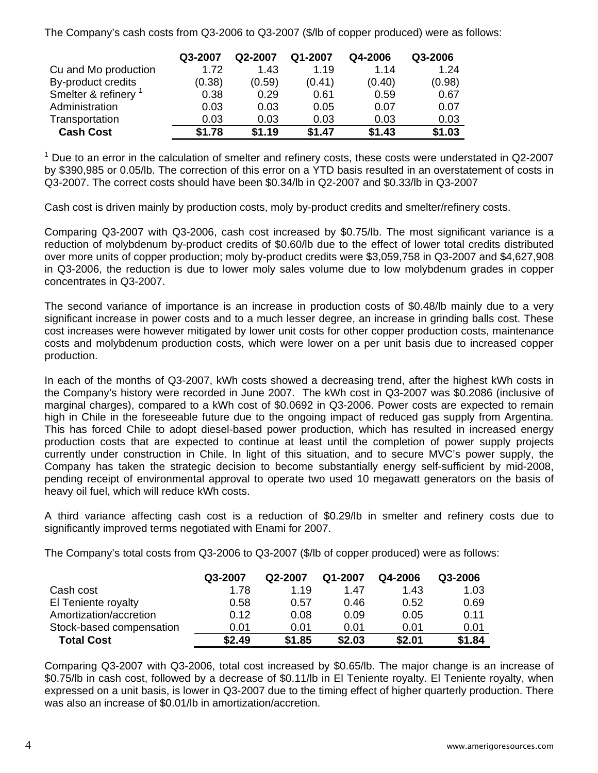The Company's cash costs from Q3-2006 to Q3-2007 (\$/lb of copper produced) were as follows:

|                                 | Q3-2007 | Q2-2007 | Q1-2007 | Q4-2006 | Q3-2006 |
|---------------------------------|---------|---------|---------|---------|---------|
| Cu and Mo production            | 1.72    | 1.43    | 1.19    | 1.14    | 1.24    |
| By-product credits              | (0.38)  | (0.59)  | (0.41)  | (0.40)  | (0.98)  |
| Smelter & refinery <sup>1</sup> | 0.38    | 0.29    | 0.61    | 0.59    | 0.67    |
| Administration                  | 0.03    | 0.03    | 0.05    | 0.07    | 0.07    |
| Transportation                  | 0.03    | 0.03    | 0.03    | 0.03    | 0.03    |
| <b>Cash Cost</b>                | \$1.78  | \$1.19  | \$1.47  | \$1.43  | \$1.03  |

<sup>1</sup> Due to an error in the calculation of smelter and refinery costs, these costs were understated in Q2-2007 by \$390,985 or 0.05/lb. The correction of this error on a YTD basis resulted in an overstatement of costs in Q3-2007. The correct costs should have been \$0.34/lb in Q2-2007 and \$0.33/lb in Q3-2007

Cash cost is driven mainly by production costs, moly by-product credits and smelter/refinery costs.

Comparing Q3-2007 with Q3-2006, cash cost increased by \$0.75/lb. The most significant variance is a reduction of molybdenum by-product credits of \$0.60/lb due to the effect of lower total credits distributed over more units of copper production; moly by-product credits were \$3,059,758 in Q3-2007 and \$4,627,908 in Q3-2006, the reduction is due to lower moly sales volume due to low molybdenum grades in copper concentrates in Q3-2007.

The second variance of importance is an increase in production costs of \$0.48/lb mainly due to a very significant increase in power costs and to a much lesser degree, an increase in grinding balls cost. These cost increases were however mitigated by lower unit costs for other copper production costs, maintenance costs and molybdenum production costs, which were lower on a per unit basis due to increased copper production.

In each of the months of Q3-2007, kWh costs showed a decreasing trend, after the highest kWh costs in the Company's history were recorded in June 2007. The kWh cost in Q3-2007 was \$0.2086 (inclusive of marginal charges), compared to a kWh cost of \$0.0692 in Q3-2006. Power costs are expected to remain high in Chile in the foreseeable future due to the ongoing impact of reduced gas supply from Argentina. This has forced Chile to adopt diesel-based power production, which has resulted in increased energy production costs that are expected to continue at least until the completion of power supply projects currently under construction in Chile. In light of this situation, and to secure MVC's power supply, the Company has taken the strategic decision to become substantially energy self-sufficient by mid-2008, pending receipt of environmental approval to operate two used 10 megawatt generators on the basis of heavy oil fuel, which will reduce kWh costs.

A third variance affecting cash cost is a reduction of \$0.29/lb in smelter and refinery costs due to significantly improved terms negotiated with Enami for 2007.

The Company's total costs from Q3-2006 to Q3-2007 (\$/lb of copper produced) were as follows:

|                          | Q3-2007 | Q2-2007 | Q1-2007 | Q4-2006 | Q3-2006 |
|--------------------------|---------|---------|---------|---------|---------|
| Cash cost                | 1.78    | 1.19    | 1.47    | 1.43    | 1.03    |
| El Teniente royalty      | 0.58    | 0.57    | 0.46    | 0.52    | 0.69    |
| Amortization/accretion   | 0.12    | 0.08    | 0.09    | 0.05    | 0.11    |
| Stock-based compensation | 0.01    | 0.01    | 0.01    | 0.01    | 0.01    |
| <b>Total Cost</b>        | \$2.49  | \$1.85  | \$2.03  | \$2.01  | \$1.84  |

Comparing Q3-2007 with Q3-2006, total cost increased by \$0.65/lb. The major change is an increase of \$0.75/lb in cash cost, followed by a decrease of \$0.11/lb in El Teniente royalty. El Teniente royalty, when expressed on a unit basis, is lower in Q3-2007 due to the timing effect of higher quarterly production. There was also an increase of \$0.01/lb in amortization/accretion.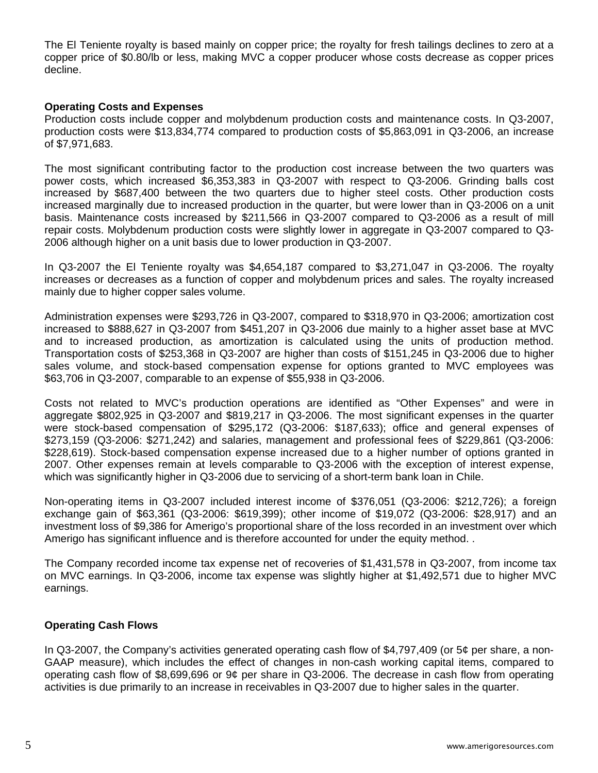The El Teniente royalty is based mainly on copper price; the royalty for fresh tailings declines to zero at a copper price of \$0.80/lb or less, making MVC a copper producer whose costs decrease as copper prices decline.

#### **Operating Costs and Expenses**

Production costs include copper and molybdenum production costs and maintenance costs. In Q3-2007, production costs were \$13,834,774 compared to production costs of \$5,863,091 in Q3-2006, an increase of \$7,971,683.

The most significant contributing factor to the production cost increase between the two quarters was power costs, which increased \$6,353,383 in Q3-2007 with respect to Q3-2006. Grinding balls cost increased by \$687,400 between the two quarters due to higher steel costs. Other production costs increased marginally due to increased production in the quarter, but were lower than in Q3-2006 on a unit basis. Maintenance costs increased by \$211,566 in Q3-2007 compared to Q3-2006 as a result of mill repair costs. Molybdenum production costs were slightly lower in aggregate in Q3-2007 compared to Q3- 2006 although higher on a unit basis due to lower production in Q3-2007.

In Q3-2007 the El Teniente royalty was \$4,654,187 compared to \$3,271,047 in Q3-2006. The royalty increases or decreases as a function of copper and molybdenum prices and sales. The royalty increased mainly due to higher copper sales volume.

Administration expenses were \$293,726 in Q3-2007, compared to \$318,970 in Q3-2006; amortization cost increased to \$888,627 in Q3-2007 from \$451,207 in Q3-2006 due mainly to a higher asset base at MVC and to increased production, as amortization is calculated using the units of production method. Transportation costs of \$253,368 in Q3-2007 are higher than costs of \$151,245 in Q3-2006 due to higher sales volume, and stock-based compensation expense for options granted to MVC employees was \$63,706 in Q3-2007, comparable to an expense of \$55,938 in Q3-2006.

Costs not related to MVC's production operations are identified as "Other Expenses" and were in aggregate \$802,925 in Q3-2007 and \$819,217 in Q3-2006. The most significant expenses in the quarter were stock-based compensation of \$295,172 (Q3-2006: \$187,633); office and general expenses of \$273,159 (Q3-2006: \$271,242) and salaries, management and professional fees of \$229,861 (Q3-2006: \$228,619). Stock-based compensation expense increased due to a higher number of options granted in 2007. Other expenses remain at levels comparable to Q3-2006 with the exception of interest expense, which was significantly higher in Q3-2006 due to servicing of a short-term bank loan in Chile.

Non-operating items in Q3-2007 included interest income of \$376,051 (Q3-2006: \$212,726); a foreign exchange gain of \$63,361 (Q3-2006: \$619,399); other income of \$19,072 (Q3-2006: \$28,917) and an investment loss of \$9,386 for Amerigo's proportional share of the loss recorded in an investment over which Amerigo has significant influence and is therefore accounted for under the equity method. .

The Company recorded income tax expense net of recoveries of \$1,431,578 in Q3-2007, from income tax on MVC earnings. In Q3-2006, income tax expense was slightly higher at \$1,492,571 due to higher MVC earnings.

#### **Operating Cash Flows**

In Q3-2007, the Company's activities generated operating cash flow of \$4,797,409 (or 5¢ per share, a non-GAAP measure), which includes the effect of changes in non-cash working capital items, compared to operating cash flow of \$8,699,696 or 9¢ per share in Q3-2006. The decrease in cash flow from operating activities is due primarily to an increase in receivables in Q3-2007 due to higher sales in the quarter.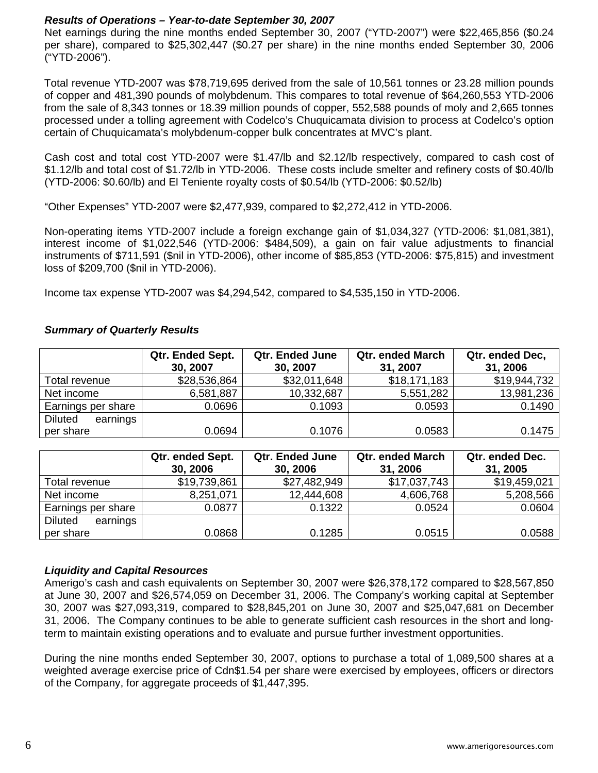# *Results of Operations – Year-to-date September 30, 2007*

Net earnings during the nine months ended September 30, 2007 ("YTD-2007") were \$22,465,856 (\$0.24 per share), compared to \$25,302,447 (\$0.27 per share) in the nine months ended September 30, 2006 ("YTD-2006").

Total revenue YTD-2007 was \$78,719,695 derived from the sale of 10,561 tonnes or 23.28 million pounds of copper and 481,390 pounds of molybdenum. This compares to total revenue of \$64,260,553 YTD-2006 from the sale of 8,343 tonnes or 18.39 million pounds of copper, 552,588 pounds of moly and 2,665 tonnes processed under a tolling agreement with Codelco's Chuquicamata division to process at Codelco's option certain of Chuquicamata's molybdenum-copper bulk concentrates at MVC's plant.

Cash cost and total cost YTD-2007 were \$1.47/lb and \$2.12/lb respectively, compared to cash cost of \$1.12/lb and total cost of \$1.72/lb in YTD-2006. These costs include smelter and refinery costs of \$0.40/lb (YTD-2006: \$0.60/lb) and El Teniente royalty costs of \$0.54/lb (YTD-2006: \$0.52/lb)

"Other Expenses" YTD-2007 were \$2,477,939, compared to \$2,272,412 in YTD-2006.

Non-operating items YTD-2007 include a foreign exchange gain of \$1,034,327 (YTD-2006: \$1,081,381), interest income of \$1,022,546 (YTD-2006: \$484,509), a gain on fair value adjustments to financial instruments of \$711,591 (\$nil in YTD-2006), other income of \$85,853 (YTD-2006: \$75,815) and investment loss of \$209,700 (\$nil in YTD-2006).

Income tax expense YTD-2007 was \$4,294,542, compared to \$4,535,150 in YTD-2006.

# *Summary of Quarterly Results*

|                            | Qtr. Ended Sept. | <b>Qtr. Ended June</b> | <b>Qtr. ended March</b> | Qtr. ended Dec, |  |
|----------------------------|------------------|------------------------|-------------------------|-----------------|--|
|                            | 30, 2007         | 30, 2007               | 31, 2007                | 31, 2006        |  |
| Total revenue              | \$28,536,864     | \$32,011,648           | \$18,171,183            | \$19,944,732    |  |
| Net income                 | 6,581,887        | 10,332,687             | 5,551,282               | 13,981,236      |  |
| Earnings per share         | 0.0696           | 0.1093                 | 0.0593                  | 0.1490          |  |
| <b>Diluted</b><br>earnings |                  |                        |                         |                 |  |
| per share                  | 0.0694           | 0.1076                 | 0.0583                  | 0.1475          |  |

|                            | Qtr. ended Sept.<br>30, 2006 | <b>Qtr. Ended June</b><br>30, 2006 | <b>Qtr. ended March</b><br>31, 2006 | Qtr. ended Dec.<br>31, 2005 |
|----------------------------|------------------------------|------------------------------------|-------------------------------------|-----------------------------|
| Total revenue              | \$19,739,861                 | \$27,482,949                       | \$17,037,743                        | \$19,459,021                |
| Net income                 | 8,251,071                    | 12,444,608                         | 4,606,768                           | 5,208,566                   |
| Earnings per share         | 0.0877                       | 0.1322                             | 0.0524                              | 0.0604                      |
| <b>Diluted</b><br>earnings |                              |                                    |                                     |                             |
| per share                  | 0.0868                       | 0.1285                             | 0.0515                              | 0.0588                      |

## *Liquidity and Capital Resources*

Amerigo's cash and cash equivalents on September 30, 2007 were \$26,378,172 compared to \$28,567,850 at June 30, 2007 and \$26,574,059 on December 31, 2006. The Company's working capital at September 30, 2007 was \$27,093,319, compared to \$28,845,201 on June 30, 2007 and \$25,047,681 on December 31, 2006. The Company continues to be able to generate sufficient cash resources in the short and longterm to maintain existing operations and to evaluate and pursue further investment opportunities.

During the nine months ended September 30, 2007, options to purchase a total of 1,089,500 shares at a weighted average exercise price of Cdn\$1.54 per share were exercised by employees, officers or directors of the Company, for aggregate proceeds of \$1,447,395.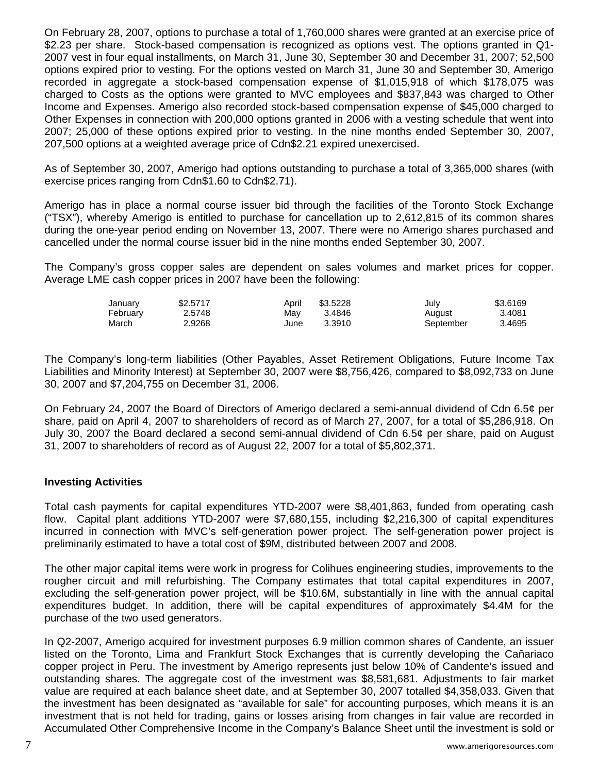On February 28, 2007, options to purchase a total of 1,760,000 shares were granted at an exercise price of \$2.23 per share. Stock-based compensation is recognized as options vest. The options granted in Q1- 2007 vest in four equal installments, on March 31, June 30, September 30 and December 31, 2007; 52,500 options expired prior to vesting. For the options vested on March 31, June 30 and September 30, Amerigo recorded in aggregate a stock-based compensation expense of \$1,015,918 of which \$178,075 was charged to Costs as the options were granted to MVC employees and \$837,843 was charged to Other Income and Expenses. Amerigo also recorded stock-based compensation expense of \$45,000 charged to Other Expenses in connection with 200,000 options granted in 2006 with a vesting schedule that went into 2007; 25,000 of these options expired prior to vesting. In the nine months ended September 30, 2007, 207,500 options at a weighted average price of Cdn\$2.21 expired unexercised.

As of September 30, 2007, Amerigo had options outstanding to purchase a total of 3,365,000 shares (with exercise prices ranging from Cdn\$1.60 to Cdn\$2.71).

Amerigo has in place a normal course issuer bid through the facilities of the Toronto Stock Exchange ("TSX"), whereby Amerigo is entitled to purchase for cancellation up to 2,612,815 of its common shares during the one-year period ending on November 13, 2007. There were no Amerigo shares purchased and cancelled under the normal course issuer bid in the nine months ended September 30, 2007.

The Company's gross copper sales are dependent on sales volumes and market prices for copper. Average LME cash copper prices in 2007 have been the following:

| January  | \$2,5717 | April | \$3.5228 | July      | \$3.6169 |
|----------|----------|-------|----------|-----------|----------|
| February | 2.5748   | Mav   | 3.4846   | August    | 3.4081   |
| March    | 2.9268   | June  | 3.3910   | September | 3.4695   |

The Company's long-term liabilities (Other Payables, Asset Retirement Obligations, Future Income Tax Liabilities and Minority Interest) at September 30, 2007 were \$8,756,426, compared to \$8,092,733 on June 30, 2007 and \$7,204,755 on December 31, 2006.

On February 24, 2007 the Board of Directors of Amerigo declared a semi-annual dividend of Cdn 6.5¢ per share, paid on April 4, 2007 to shareholders of record as of March 27, 2007, for a total of \$5,286,918. On July 30, 2007 the Board declared a second semi-annual dividend of Cdn 6.5¢ per share, paid on August 31, 2007 to shareholders of record as of August 22, 2007 for a total of \$5,802,371.

## **Investing Activities**

Total cash payments for capital expenditures YTD-2007 were \$8,401,863, funded from operating cash flow. Capital plant additions YTD-2007 were \$7,680,155, including \$2,216,300 of capital expenditures incurred in connection with MVC's self-generation power project. The self-generation power project is preliminarily estimated to have a total cost of \$9M, distributed between 2007 and 2008.

The other major capital items were work in progress for Colihues engineering studies, improvements to the rougher circuit and mill refurbishing. The Company estimates that total capital expenditures in 2007, excluding the self-generation power project, will be \$10.6M, substantially in line with the annual capital expenditures budget. In addition, there will be capital expenditures of approximately \$4.4M for the purchase of the two used generators.

In Q2-2007, Amerigo acquired for investment purposes 6.9 million common shares of Candente, an issuer listed on the Toronto, Lima and Frankfurt Stock Exchanges that is currently developing the Cañariaco copper project in Peru. The investment by Amerigo represents just below 10% of Candente's issued and outstanding shares. The aggregate cost of the investment was \$8,581,681. Adjustments to fair market value are required at each balance sheet date, and at September 30, 2007 totalled \$4,358,033. Given that the investment has been designated as "available for sale" for accounting purposes, which means it is an investment that is not held for trading, gains or losses arising from changes in fair value are recorded in Accumulated Other Comprehensive Income in the Company's Balance Sheet until the investment is sold or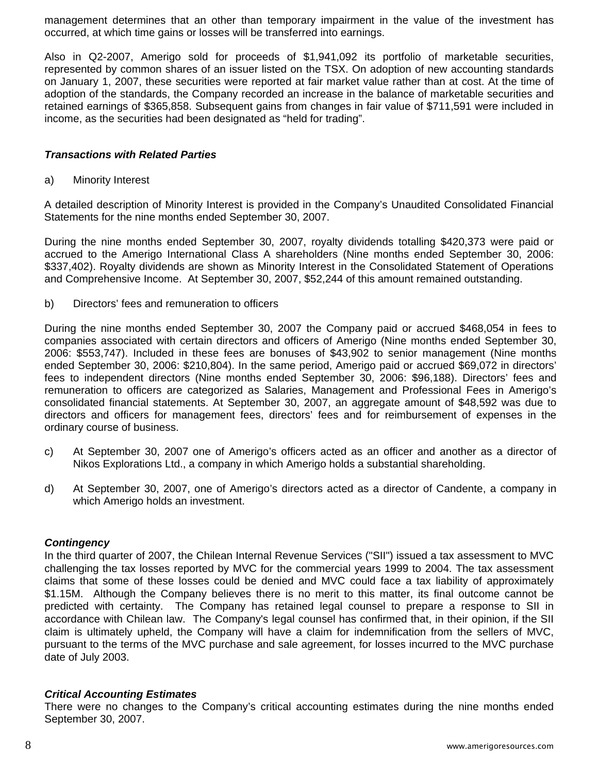management determines that an other than temporary impairment in the value of the investment has occurred, at which time gains or losses will be transferred into earnings.

Also in Q2-2007, Amerigo sold for proceeds of \$1,941,092 its portfolio of marketable securities, represented by common shares of an issuer listed on the TSX. On adoption of new accounting standards on January 1, 2007, these securities were reported at fair market value rather than at cost. At the time of adoption of the standards, the Company recorded an increase in the balance of marketable securities and retained earnings of \$365,858. Subsequent gains from changes in fair value of \$711,591 were included in income, as the securities had been designated as "held for trading".

#### *Transactions with Related Parties*

a) Minority Interest

A detailed description of Minority Interest is provided in the Company's Unaudited Consolidated Financial Statements for the nine months ended September 30, 2007.

During the nine months ended September 30, 2007, royalty dividends totalling \$420,373 were paid or accrued to the Amerigo International Class A shareholders (Nine months ended September 30, 2006: \$337,402). Royalty dividends are shown as Minority Interest in the Consolidated Statement of Operations and Comprehensive Income. At September 30, 2007, \$52,244 of this amount remained outstanding.

b) Directors' fees and remuneration to officers

During the nine months ended September 30, 2007 the Company paid or accrued \$468,054 in fees to companies associated with certain directors and officers of Amerigo (Nine months ended September 30, 2006: \$553,747). Included in these fees are bonuses of \$43,902 to senior management (Nine months ended September 30, 2006: \$210,804). In the same period, Amerigo paid or accrued \$69,072 in directors' fees to independent directors (Nine months ended September 30, 2006: \$96,188). Directors' fees and remuneration to officers are categorized as Salaries, Management and Professional Fees in Amerigo's consolidated financial statements. At September 30, 2007, an aggregate amount of \$48,592 was due to directors and officers for management fees, directors' fees and for reimbursement of expenses in the ordinary course of business.

- c) At September 30, 2007 one of Amerigo's officers acted as an officer and another as a director of Nikos Explorations Ltd., a company in which Amerigo holds a substantial shareholding.
- d) At September 30, 2007, one of Amerigo's directors acted as a director of Candente, a company in which Amerigo holds an investment.

## *Contingency*

In the third quarter of 2007, the Chilean Internal Revenue Services ("SII") issued a tax assessment to MVC challenging the tax losses reported by MVC for the commercial years 1999 to 2004. The tax assessment claims that some of these losses could be denied and MVC could face a tax liability of approximately \$1.15M. Although the Company believes there is no merit to this matter, its final outcome cannot be predicted with certainty. The Company has retained legal counsel to prepare a response to SII in accordance with Chilean law. The Company's legal counsel has confirmed that, in their opinion, if the SII claim is ultimately upheld, the Company will have a claim for indemnification from the sellers of MVC, pursuant to the terms of the MVC purchase and sale agreement, for losses incurred to the MVC purchase date of July 2003.

#### *Critical Accounting Estimates*

There were no changes to the Company's critical accounting estimates during the nine months ended September 30, 2007.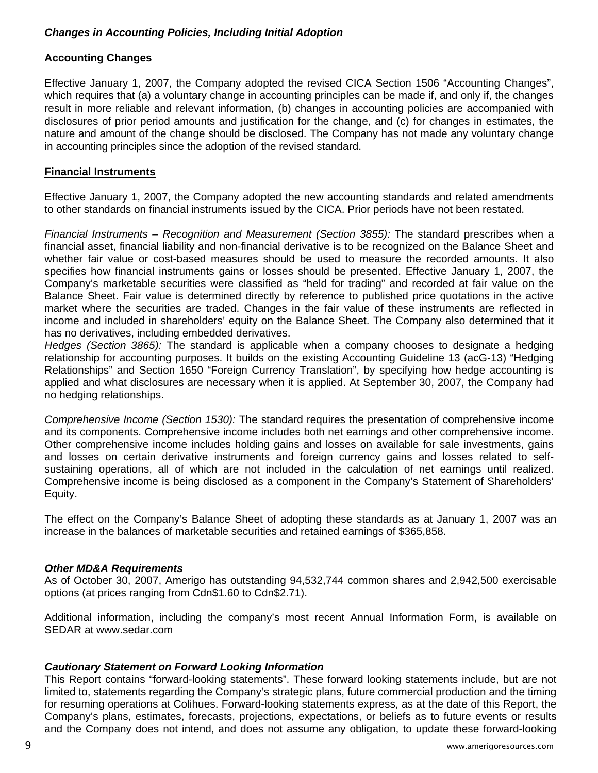# *Changes in Accounting Policies, Including Initial Adoption*

# **Accounting Changes**

Effective January 1, 2007, the Company adopted the revised CICA Section 1506 "Accounting Changes", which requires that (a) a voluntary change in accounting principles can be made if, and only if, the changes result in more reliable and relevant information, (b) changes in accounting policies are accompanied with disclosures of prior period amounts and justification for the change, and (c) for changes in estimates, the nature and amount of the change should be disclosed. The Company has not made any voluntary change in accounting principles since the adoption of the revised standard.

## **Financial Instruments**

Effective January 1, 2007, the Company adopted the new accounting standards and related amendments to other standards on financial instruments issued by the CICA. Prior periods have not been restated.

*Financial Instruments – Recognition and Measurement (Section 3855):* The standard prescribes when a financial asset, financial liability and non-financial derivative is to be recognized on the Balance Sheet and whether fair value or cost-based measures should be used to measure the recorded amounts. It also specifies how financial instruments gains or losses should be presented. Effective January 1, 2007, the Company's marketable securities were classified as "held for trading" and recorded at fair value on the Balance Sheet. Fair value is determined directly by reference to published price quotations in the active market where the securities are traded. Changes in the fair value of these instruments are reflected in income and included in shareholders' equity on the Balance Sheet. The Company also determined that it has no derivatives, including embedded derivatives.

*Hedges (Section 3865):* The standard is applicable when a company chooses to designate a hedging relationship for accounting purposes. It builds on the existing Accounting Guideline 13 (acG-13) "Hedging Relationships" and Section 1650 "Foreign Currency Translation", by specifying how hedge accounting is applied and what disclosures are necessary when it is applied. At September 30, 2007, the Company had no hedging relationships.

*Comprehensive Income (Section 1530):* The standard requires the presentation of comprehensive income and its components. Comprehensive income includes both net earnings and other comprehensive income. Other comprehensive income includes holding gains and losses on available for sale investments, gains and losses on certain derivative instruments and foreign currency gains and losses related to selfsustaining operations, all of which are not included in the calculation of net earnings until realized. Comprehensive income is being disclosed as a component in the Company's Statement of Shareholders' Equity.

The effect on the Company's Balance Sheet of adopting these standards as at January 1, 2007 was an increase in the balances of marketable securities and retained earnings of \$365,858.

## *Other MD&A Requirements*

As of October 30, 2007, Amerigo has outstanding 94,532,744 common shares and 2,942,500 exercisable options (at prices ranging from Cdn\$1.60 to Cdn\$2.71).

Additional information, including the company's most recent Annual Information Form, is available on SEDAR at [www.sedar.com](http://www.sedar.com/)

## *Cautionary Statement on Forward Looking Information*

This Report contains "forward-looking statements". These forward looking statements include, but are not limited to, statements regarding the Company's strategic plans, future commercial production and the timing for resuming operations at Colihues. Forward-looking statements express, as at the date of this Report, the Company's plans, estimates, forecasts, projections, expectations, or beliefs as to future events or results and the Company does not intend, and does not assume any obligation, to update these forward-looking